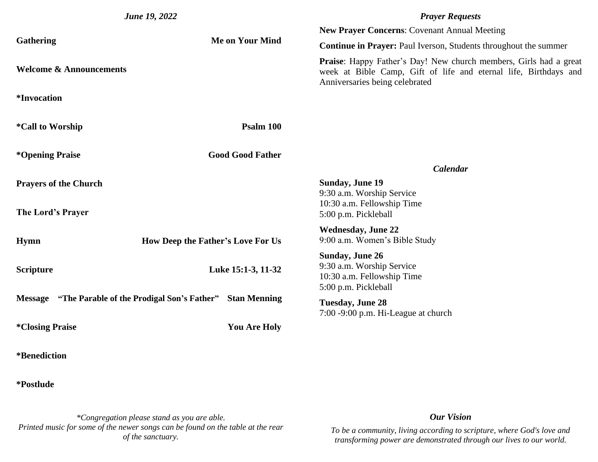| <b>June 19, 2022</b>                               |                                   | <b>Prayer Requests</b>                                                                                                                                                         |
|----------------------------------------------------|-----------------------------------|--------------------------------------------------------------------------------------------------------------------------------------------------------------------------------|
|                                                    |                                   | <b>New Prayer Concerns: Covenant Annual Meeting</b>                                                                                                                            |
| <b>Gathering</b>                                   | <b>Me on Your Mind</b>            | <b>Continue in Prayer: Paul Iverson, Students throughout the summer</b>                                                                                                        |
| <b>Welcome &amp; Announcements</b>                 |                                   | <b>Praise:</b> Happy Father's Day! New church members, Girls had a great<br>week at Bible Camp, Gift of life and eternal life, Birthdays and<br>Anniversaries being celebrated |
| <i>*Invocation</i>                                 |                                   |                                                                                                                                                                                |
| <i>*Call to Worship</i>                            | Psalm 100                         |                                                                                                                                                                                |
| <i><b>*Opening Praise</b></i>                      | <b>Good Good Father</b>           |                                                                                                                                                                                |
|                                                    |                                   | <b>Calendar</b>                                                                                                                                                                |
| <b>Prayers of the Church</b>                       |                                   | <b>Sunday, June 19</b><br>9:30 a.m. Worship Service<br>10:30 a.m. Fellowship Time                                                                                              |
| The Lord's Prayer                                  |                                   | 5:00 p.m. Pickleball                                                                                                                                                           |
| <b>Hymn</b>                                        | How Deep the Father's Love For Us | <b>Wednesday, June 22</b><br>9:00 a.m. Women's Bible Study                                                                                                                     |
| <b>Scripture</b>                                   | Luke 15:1-3, 11-32                | <b>Sunday, June 26</b><br>9:30 a.m. Worship Service<br>10:30 a.m. Fellowship Time<br>5:00 p.m. Pickleball                                                                      |
| Message "The Parable of the Prodigal Son's Father" | <b>Stan Menning</b>               | <b>Tuesday, June 28</b><br>7:00 -9:00 p.m. Hi-League at church                                                                                                                 |
| <i><b>*Closing Praise</b></i>                      | <b>You Are Holy</b>               |                                                                                                                                                                                |
| *Benediction                                       |                                   |                                                                                                                                                                                |

**\*Postlude**

*\*Congregation please stand as you are able. Printed music for some of the newer songs can be found on the table at the rear of the sanctuary.*

## *Our Vision*

*To be a community, living according to scripture, where God's love and transforming power are demonstrated through our lives to our world.*